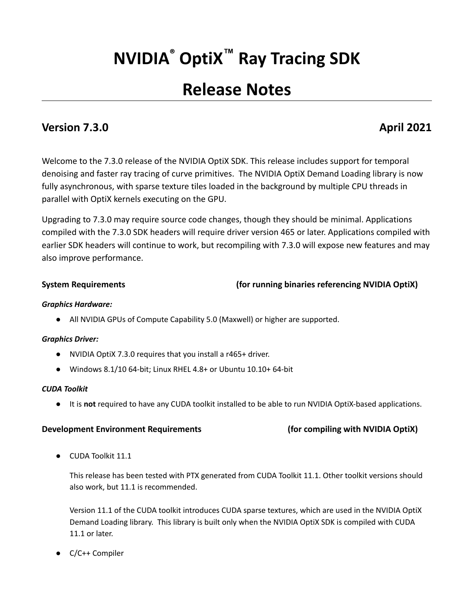# **NVIDIA® OptiX™ Ray Tracing SDK**

## **Release Notes**

### **Version 7.3.0 April 2021**

Welcome to the 7.3.0 release of the NVIDIA OptiX SDK. This release includes support for temporal denoising and faster ray tracing of curve primitives. The NVIDIA OptiX Demand Loading library is now fully asynchronous, with sparse texture tiles loaded in the background by multiple CPU threads in parallel with OptiX kernels executing on the GPU.

Upgrading to 7.3.0 may require source code changes, though they should be minimal. Applications compiled with the 7.3.0 SDK headers will require driver version 465 or later. Applications compiled with earlier SDK headers will continue to work, but recompiling with 7.3.0 will expose new features and may also improve performance.

### **System Requirements (for running binaries referencing NVIDIA OptiX)**

#### *Graphics Hardware:*

● All NVIDIA GPUs of Compute Capability 5.0 (Maxwell) or higher are supported.

#### *Graphics Driver:*

- NVIDIA OptiX 7.3.0 requires that you install a r465+ driver.
- Windows 8.1/10 64-bit; Linux RHEL 4.8+ or Ubuntu 10.10+ 64-bit

#### *CUDA Toolkit*

● It is **not** required to have any CUDA toolkit installed to be able to run NVIDIA OptiX-based applications.

#### **Development Environment Requirements (for compiling with NVIDIA OptiX)**

● CUDA Toolkit 11.1

This release has been tested with PTX generated from CUDA Toolkit 11.1. Other toolkit versions should also work, but 11.1 is recommended.

Version 11.1 of the CUDA toolkit introduces CUDA sparse textures, which are used in the NVIDIA OptiX Demand Loading library. This library is built only when the NVIDIA OptiX SDK is compiled with CUDA 11.1 or later.

C/C++ Compiler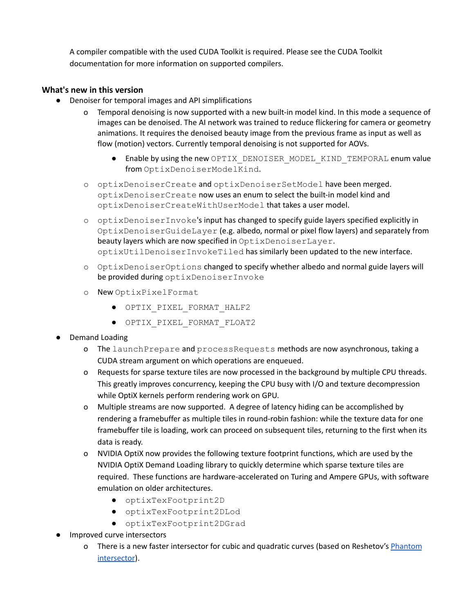A compiler compatible with the used CUDA Toolkit is required. Please see the CUDA Toolkit documentation for more information on supported compilers.

#### **What's new in this version**

- Denoiser for temporal images and API simplifications
	- o Temporal denoising is now supported with a new built-in model kind. In this mode a sequence of images can be denoised. The AI network was trained to reduce flickering for camera or geometry animations. It requires the denoised beauty image from the previous frame as input as well as flow (motion) vectors. Currently temporal denoising is not supported for AOVs.
		- Enable by using the new OPTIX\_DENOISER\_MODEL\_KIND\_TEMPORAL enum value from OptixDenoiserModelKind.
	- o optixDenoiserCreate and optixDenoiserSetModel have been merged. optixDenoiserCreate now uses an enum to select the built-in model kind and optixDenoiserCreateWithUserModel that takes a user model.
	- o optixDenoiserInvoke's input has changed to specify guide layers specified explicitly in OptixDenoiserGuideLayer (e.g. albedo, normal or pixel flow layers) and separately from beauty layers which are now specified in OptixDenoiserLayer. optixUtilDenoiserInvokeTiled has similarly been updated to the new interface.
	- o OptixDenoiserOptions changed to specify whether albedo and normal guide layers will be provided during optixDenoiserInvoke
	- o New OptixPixelFormat
		- OPTIX\_PIXEL\_FORMAT\_HALF2
		- OPTIX\_PIXEL\_FORMAT\_FLOAT2

### **Demand Loading**

- o The launchPrepare and processRequests methods are now asynchronous, taking a CUDA stream argument on which operations are enqueued.
- o Requests for sparse texture tiles are now processed in the background by multiple CPU threads. This greatly improves concurrency, keeping the CPU busy with I/O and texture decompression while OptiX kernels perform rendering work on GPU.
- o Multiple streams are now supported. A degree of latency hiding can be accomplished by rendering a framebuffer as multiple tiles in round-robin fashion: while the texture data for one framebuffer tile is loading, work can proceed on subsequent tiles, returning to the first when its data is ready.
- o NVIDIA OptiX now provides the following texture footprint functions, which are used by the NVIDIA OptiX Demand Loading library to quickly determine which sparse texture tiles are required. These functions are hardware-accelerated on Turing and Ampere GPUs, with software emulation on older architectures.
	- optixTexFootprint2D
	- optixTexFootprint2DLod
	- optixTexFootprint2DGrad
- Improved curve intersectors
	- o There is a new faster intersector for cubic and quadratic curves (based on Reshetov's [Phantom](https://research.nvidia.com/publication/2018-08_Phantom-Ray-Hair-Intersector) [intersector](https://research.nvidia.com/publication/2018-08_Phantom-Ray-Hair-Intersector)).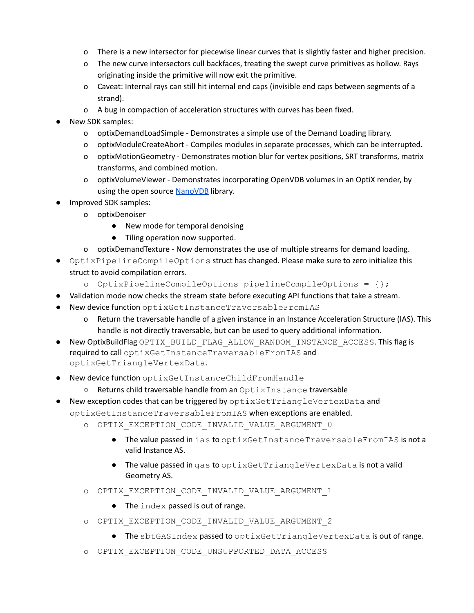- o There is a new intersector for piecewise linear curves that is slightly faster and higher precision.
- o The new curve intersectors cull backfaces, treating the swept curve primitives as hollow. Rays originating inside the primitive will now exit the primitive.
- o Caveat: Internal rays can still hit internal end caps (invisible end caps between segments of a strand).
- o A bug in compaction of acceleration structures with curves has been fixed.
- New SDK samples:
	- o optixDemandLoadSimple Demonstrates a simple use of the Demand Loading library.
	- o optixModuleCreateAbort Compiles modules in separate processes, which can be interrupted.
	- o optixMotionGeometry Demonstrates motion blur for vertex positions, SRT transforms, matrix transforms, and combined motion.
	- o optixVolumeViewer Demonstrates incorporating OpenVDB volumes in an OptiX render, by using the open source [NanoVDB](https://developer.nvidia.com/blog/accelerating-openvdb-on-gpus-with-nanovdb/) library.
- Improved SDK samples:
	- o optixDenoiser
		- New mode for temporal denoising
		- Tiling operation now supported.
		- o optixDemandTexture Now demonstrates the use of multiple streams for demand loading.
- OptixPipelineCompileOptions struct has changed. Please make sure to zero initialize this struct to avoid compilation errors.
	- o OptixPipelineCompileOptions pipelineCompileOptions = {};
- Validation mode now checks the stream state before executing API functions that take a stream.
- New device function optixGetInstanceTraversableFromIAS
	- o Return the traversable handle of a given instance in an Instance Acceleration Structure (IAS). This handle is not directly traversable, but can be used to query additional information.
- New OptixBuildFlag OPTIX\_BUILD\_FLAG\_ALLOW\_RANDOM\_INSTANCE\_ACCESS. This flag is required to call optixGetInstanceTraversableFromIAS and optixGetTriangleVertexData.
- New device function optixGetInstanceChildFromHandle
	- Returns child traversable handle from an OptixInstance traversable
- New exception codes that can be triggered by optixGetTriangleVertexData and optixGetInstanceTraversableFromIAS when exceptions are enabled.
	- o OPTIX\_EXCEPTION\_CODE\_INVALID\_VALUE\_ARGUMENT\_0
		- The value passed in ias to optixGetInstanceTraversableFromIAS is not a valid Instance AS.
		- The value passed in gas to optixGetTriangleVertexData is not a valid Geometry AS.
	- o OPTIX\_EXCEPTION\_CODE\_INVALID\_VALUE\_ARGUMENT\_1
		- The index passed is out of range.
	- o OPTIX\_EXCEPTION\_CODE\_INVALID\_VALUE\_ARGUMENT\_2
		- The sbtGASIndex passed to optixGetTriangleVertexData is out of range.
	- o OPTIX\_EXCEPTION\_CODE\_UNSUPPORTED\_DATA\_ACCESS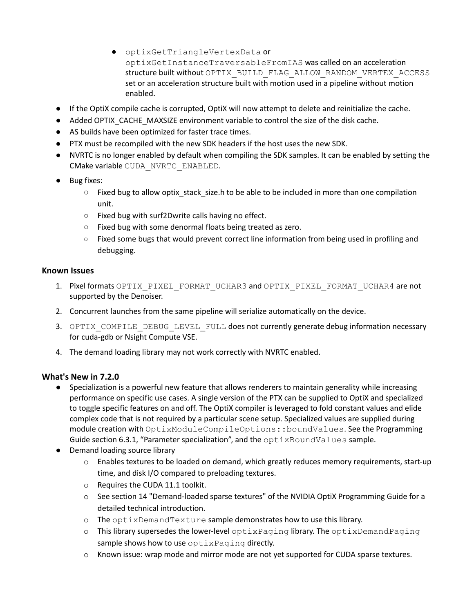- optixGetTriangleVertexData or optixGetInstanceTraversableFromIAS was called on an acceleration structure built without OPTIX\_BUILD\_FLAG\_ALLOW\_RANDOM\_VERTEX\_ACCESS set or an acceleration structure built with motion used in a pipeline without motion enabled.
- If the OptiX compile cache is corrupted, OptiX will now attempt to delete and reinitialize the cache.
- Added OPTIX\_CACHE\_MAXSIZE environment variable to control the size of the disk cache.
- AS builds have been optimized for faster trace times.
- PTX must be recompiled with the new SDK headers if the host uses the new SDK.
- NVRTC is no longer enabled by default when compiling the SDK samples. It can be enabled by setting the CMake variable CUDA\_NVRTC\_ENABLED.
- Bug fixes:
	- $\circ$  Fixed bug to allow optix stack size.h to be able to be included in more than one compilation unit.
	- Fixed bug with surf2Dwrite calls having no effect.
	- Fixed bug with some denormal floats being treated as zero.
	- Fixed some bugs that would prevent correct line information from being used in profiling and debugging.

#### **Known Issues**

- 1. Pixel formats OPTIX\_PIXEL\_FORMAT\_UCHAR3 and OPTIX\_PIXEL\_FORMAT\_UCHAR4 are not supported by the Denoiser.
- 2. Concurrent launches from the same pipeline will serialize automatically on the device.
- 3. OPTIX\_COMPILE\_DEBUG\_LEVEL\_FULL does not currently generate debug information necessary for cuda-gdb or Nsight Compute VSE.
- 4. The demand loading library may not work correctly with NVRTC enabled.

### **What's New in 7.2.0**

- Specialization is a powerful new feature that allows renderers to maintain generality while increasing performance on specific use cases. A single version of the PTX can be supplied to OptiX and specialized to toggle specific features on and off. The OptiX compiler is leveraged to fold constant values and elide complex code that is not required by a particular scene setup. Specialized values are supplied during module creation with OptixModuleCompileOptions::boundValues. See the Programming Guide section 6.3.1, "Parameter specialization", and the optixBoundValues sample.
- Demand loading source library
	- o Enables textures to be loaded on demand, which greatly reduces memory requirements, start-up time, and disk I/O compared to preloading textures.
	- o Requires the CUDA 11.1 toolkit.
	- o See section 14 "Demand-loaded sparse textures" of the NVIDIA OptiX Programming Guide for a detailed technical introduction.
	- o The optixDemandTexture sample demonstrates how to use this library.
	- o This library supersedes the lower-level optixPaging library. The optixDemandPaging sample shows how to use optixPaging directly.
	- $\circ$  Known issue: wrap mode and mirror mode are not yet supported for CUDA sparse textures.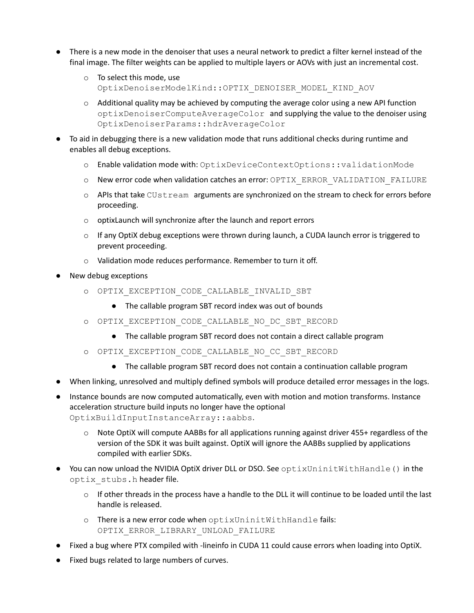- There is a new mode in the denoiser that uses a neural network to predict a filter kernel instead of the final image. The filter weights can be applied to multiple layers or AOVs with just an incremental cost.
	- o To select this mode, use OptixDenoiserModelKind::OPTIX\_DENOISER\_MODEL\_KIND\_AOV
	- $\circ$  Additional quality may be achieved by computing the average color using a new API function optixDenoiserComputeAverageColor and supplying the value to the denoiser using OptixDenoiserParams::hdrAverageColor
- To aid in debugging there is a new validation mode that runs additional checks during runtime and enables all debug exceptions.
	- o Enable validation mode with: OptixDeviceContextOptions::validationMode
	- o New error code when validation catches an error: OPTIX\_ERROR\_VALIDATION\_FAILURE
	- o APIs that take CUstream arguments are synchronized on the stream to check for errors before proceeding.
	- o optixLaunch will synchronize after the launch and report errors
	- $\circ$  If any OptiX debug exceptions were thrown during launch, a CUDA launch error is triggered to prevent proceeding.
	- o Validation mode reduces performance. Remember to turn it off.
- New debug exceptions
	- o OPTIX\_EXCEPTION\_CODE\_CALLABLE\_INVALID\_SBT
		- The callable program SBT record index was out of bounds
	- o OPTIX\_EXCEPTION\_CODE\_CALLABLE\_NO\_DC\_SBT\_RECORD
		- The callable program SBT record does not contain a direct callable program
	- o OPTIX\_EXCEPTION\_CODE\_CALLABLE\_NO\_CC\_SBT\_RECORD
		- The callable program SBT record does not contain a continuation callable program
- When linking, unresolved and multiply defined symbols will produce detailed error messages in the logs.
- Instance bounds are now computed automatically, even with motion and motion transforms. Instance acceleration structure build inputs no longer have the optional OptixBuildInputInstanceArray::aabbs.
	- $\circ$  Note OptiX will compute AABBs for all applications running against driver 455+ regardless of the version of the SDK it was built against. OptiX will ignore the AABBs supplied by applications compiled with earlier SDKs.
- You can now unload the NVIDIA OptiX driver DLL or DSO. See optixUninitWithHandle() in the optix\_stubs.h header file.
	- $\circ$  If other threads in the process have a handle to the DLL it will continue to be loaded until the last handle is released.
	- o There is a new error code when optixUninitWithHandle fails: OPTIX\_ERROR\_LIBRARY\_UNLOAD\_FAILURE
- Fixed a bug where PTX compiled with -lineinfo in CUDA 11 could cause errors when loading into OptiX.
- Fixed bugs related to large numbers of curves.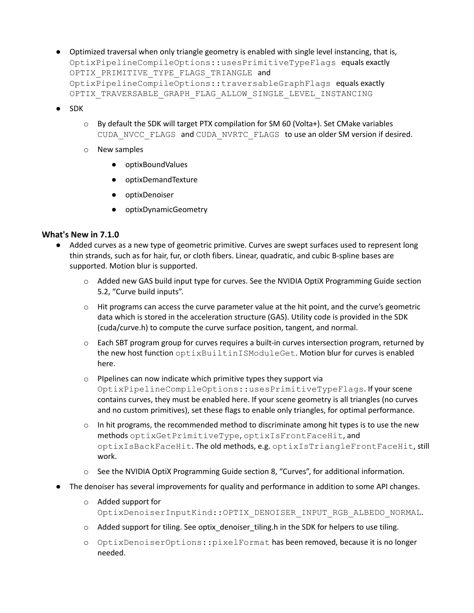- Optimized traversal when only triangle geometry is enabled with single level instancing, that is, OptixPipelineCompileOptions::usesPrimitiveTypeFlags equals exactly OPTIX PRIMITIVE TYPE FLAGS TRIANGLE and OptixPipelineCompileOptions::traversableGraphFlags equals exactly OPTIX\_TRAVERSABLE\_GRAPH\_FLAG\_ALLOW\_SINGLE\_LEVEL\_INSTANCING
- SDK
	- o By default the SDK will target PTX compilation for SM 60 (Volta+). Set CMake variables CUDA\_NVCC\_FLAGS and CUDA\_NVRTC\_FLAGS to use an older SM version if desired.
	- o New samples
		- optixBoundValues
		- optixDemandTexture
		- optixDenoiser
		- optixDynamicGeometry

#### **What's New in 7.1.0**

- Added curves as a new type of geometric primitive. Curves are swept surfaces used to represent long thin strands, such as for hair, fur, or cloth fibers. Linear, quadratic, and cubic B-spline bases are supported. Motion blur is supported.
	- o Added new GAS build input type for curves. See the NVIDIA OptiX Programming Guide section 5.2, "Curve build inputs".
	- $\circ$  Hit programs can access the curve parameter value at the hit point, and the curve's geometric data which is stored in the acceleration structure (GAS). Utility code is provided in the SDK (cuda/curve.h) to compute the curve surface position, tangent, and normal.
	- $\circ$  Each SBT program group for curves requires a built-in curves intersection program, returned by the new host function optixBuiltinISModuleGet. Motion blur for curves is enabled here.
	- o PIpelines can now indicate which primitive types they support via OptixPipelineCompileOptions::usesPrimitiveTypeFlags. If your scene contains curves, they must be enabled here. If your scene geometry is all triangles (no curves and no custom primitives), set these flags to enable only triangles, for optimal performance.
	- $\circ$  In hit programs, the recommended method to discriminate among hit types is to use the new methods optixGetPrimitiveType, optixIsFrontFaceHit, and optixIsBackFaceHit. The old methods, e.g. optixIsTriangleFrontFaceHit, still work.
	- o See the NVIDIA OptiX Programming Guide section 8, "Curves", for additional information.
- The denoiser has several improvements for quality and performance in addition to some API changes.
	- o Added support for OptixDenoiserInputKind::OPTIX\_DENOISER\_INPUT\_RGB\_ALBEDO\_NORMAL.
	- o Added support for tiling. See optix\_denoiser\_tiling.h in the SDK for helpers to use tiling.
	- o OptixDenoiserOptions::pixelFormat has been removed, because it is no longer needed.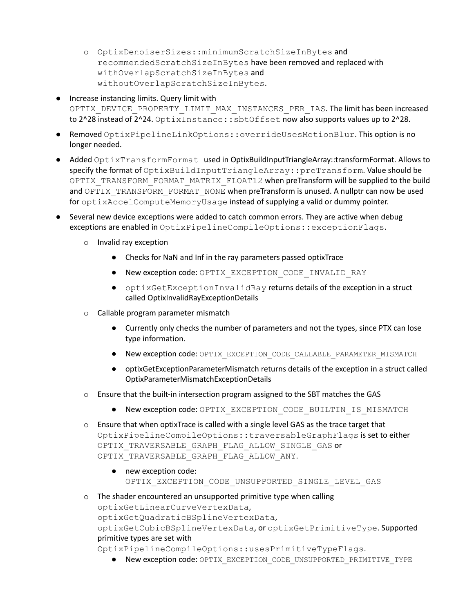- o OptixDenoiserSizes::minimumScratchSizeInBytes and recommendedScratchSizeInBytes have been removed and replaced with withOverlapScratchSizeInBytes and withoutOverlapScratchSizeInBytes.
- Increase instancing limits. Query limit with OPTIX\_DEVICE\_PROPERTY\_LIMIT\_MAX\_INSTANCES\_PER\_IAS. The limit has been increased to 2^28 instead of 2^24. OptixInstance::sbtOffset now also supports values up to 2^28.
- Removed OptixPipelineLinkOptions::overrideUsesMotionBlur. This option is no longer needed.
- Added OptixTransformFormat used in OptixBuildInputTriangleArray::transformFormat. Allows to specify the format of OptixBuildInputTriangleArray::preTransform. Value should be OPTIX\_TRANSFORM\_FORMAT\_MATRIX\_FLOAT12 when preTransform will be supplied to the build and OPTIX\_TRANSFORM\_FORMAT\_NONE when preTransform is unused. A nullptr can now be used for optixAccelComputeMemoryUsage instead of supplying a valid or dummy pointer.
- Several new device exceptions were added to catch common errors. They are active when debug exceptions are enabled in OptixPipelineCompileOptions::exceptionFlags.
	- o Invalid ray exception
		- Checks for NaN and Inf in the ray parameters passed optixTrace
		- New exception code: OPTIX\_EXCEPTION\_CODE\_INVALID\_RAY
		- optixGetExceptionInvalidRay returns details of the exception in a struct called OptixInvalidRayExceptionDetails
	- o Callable program parameter mismatch
		- Currently only checks the number of parameters and not the types, since PTX can lose type information.
		- New exception code: OPTIX\_EXCEPTION\_CODE\_CALLABLE\_PARAMETER\_MISMATCH
		- optixGetExceptionParameterMismatch returns details of the exception in a struct called OptixParameterMismatchExceptionDetails
	- $\circ$  Ensure that the built-in intersection program assigned to the SBT matches the GAS
		- New exception code: OPTIX\_EXCEPTION\_CODE\_BUILTIN\_IS\_MISMATCH
	- $\circ$  Ensure that when optixTrace is called with a single level GAS as the trace target that OptixPipelineCompileOptions::traversableGraphFlags is set to either OPTIX TRAVERSABLE GRAPH FLAG ALLOW SINGLE GAS or OPTIX TRAVERSABLE GRAPH FLAG ALLOW ANY.
		- new exception code: OPTIX EXCEPTION CODE UNSUPPORTED SINGLE LEVEL GAS
	- o The shader encountered an unsupported primitive type when calling optixGetLinearCurveVertexData,

optixGetQuadraticBSplineVertexData,

optixGetCubicBSplineVertexData, or optixGetPrimitiveType. Supported primitive types are set with

OptixPipelineCompileOptions::usesPrimitiveTypeFlags.

● New exception code: OPTIX\_EXCEPTION\_CODE\_UNSUPPORTED\_PRIMITIVE\_TYPE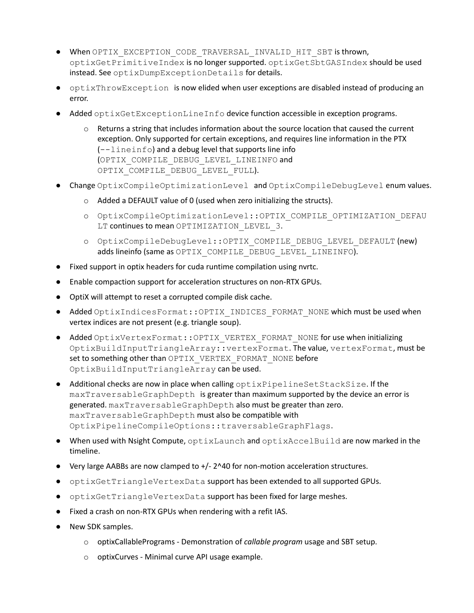- When OPTIX\_EXCEPTION\_CODE\_TRAVERSAL\_INVALID\_HIT\_SBT is thrown, optixGetPrimitiveIndex is no longer supported. optixGetSbtGASIndex should be used instead. See optixDumpExceptionDetails for details.
- optixThrowException is now elided when user exceptions are disabled instead of producing an error.
- Added optixGetExceptionLineInfo device function accessible in exception programs.
	- $\circ$  Returns a string that includes information about the source location that caused the current exception. Only supported for certain exceptions, and requires line information in the PTX (--lineinfo) and a debug level that supports line info (OPTIX\_COMPILE\_DEBUG\_LEVEL\_LINEINFO and OPTIX COMPILE DEBUG LEVEL FULL).
- Change OptixCompileOptimizationLevel and OptixCompileDebugLevel enum values.
	- o Added a DEFAULT value of 0 (used when zero initializing the structs).
	- o OptixCompileOptimizationLevel::OPTIX\_COMPILE\_OPTIMIZATION\_DEFAU LT continues to mean OPTIMIZATION LEVEL 3.
	- o OptixCompileDebugLevel::OPTIX\_COMPILE\_DEBUG\_LEVEL\_DEFAULT (new) adds lineinfo (same as OPTIX\_COMPILE\_DEBUG\_LEVEL\_LINEINFO).
- Fixed support in optix headers for cuda runtime compilation using nvrtc.
- Enable compaction support for acceleration structures on non-RTX GPUs.
- OptiX will attempt to reset a corrupted compile disk cache.
- Added OptixIndicesFormat:: OPTIX\_INDICES\_FORMAT\_NONE which must be used when vertex indices are not present (e.g. triangle soup).
- Added OptixVertexFormat:: OPTIX\_VERTEX\_FORMAT\_NONE for use when initializing OptixBuildInputTriangleArray::vertexFormat. The value, vertexFormat, must be set to something other than OPTIX\_VERTEX\_FORMAT\_NONE before OptixBuildInputTriangleArray can be used.
- Additional checks are now in place when calling optixPipelineSetStackSize. If the maxTraversableGraphDepth is greater than maximum supported by the device an error is generated. maxTraversableGraphDepth also must be greater than zero. maxTraversableGraphDepth must also be compatible with OptixPipelineCompileOptions::traversableGraphFlags.
- When used with Nsight Compute, optixLaunch and optixAccelBuild are now marked in the timeline.
- Very large AABBs are now clamped to +/- 2^40 for non-motion acceleration structures.
- optixGetTriangleVertexData support has been extended to all supported GPUs.
- optixGetTriangleVertexData support has been fixed for large meshes.
- Fixed a crash on non-RTX GPUs when rendering with a refit IAS.
- New SDK samples.
	- o optixCallablePrograms Demonstration of *callable program* usage and SBT setup.
	- o optixCurves Minimal curve API usage example.